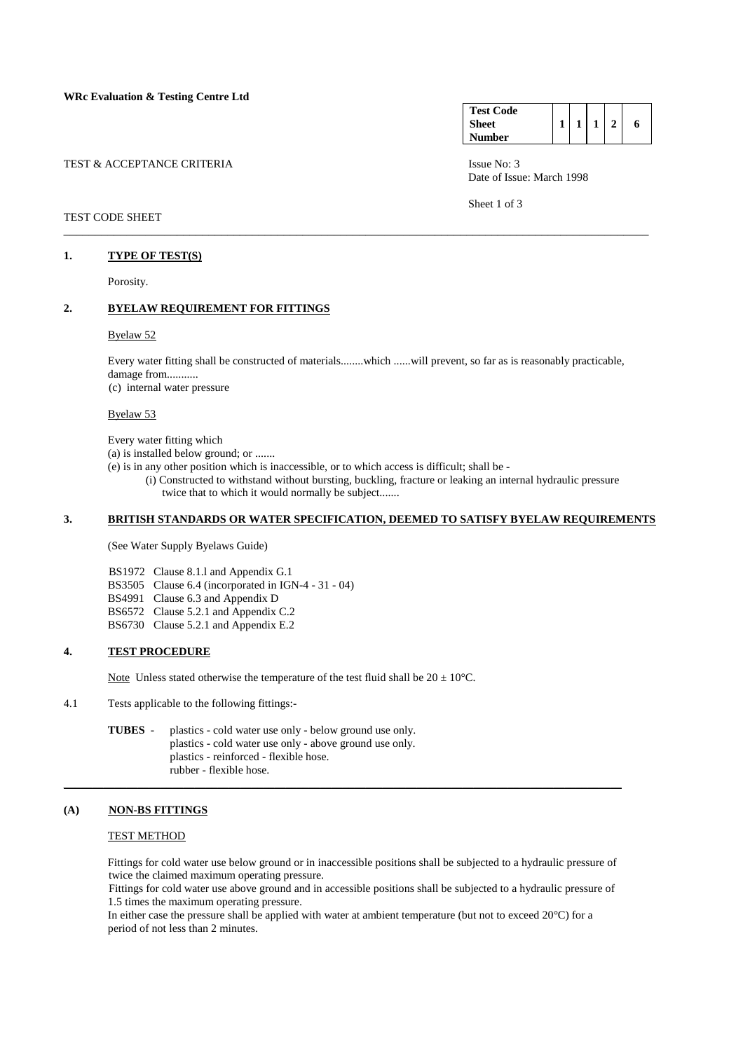| TEST & ACCEPTANCE CRITERIA | Issue No: $3$ |
|----------------------------|---------------|
|----------------------------|---------------|

## TEST CODE SHEET

### **1. TYPE OF TEST(S)**

Porosity.

### **2. BYELAW REQUIREMENT FOR FITTINGS**

### Byelaw 52

 Every water fitting shall be constructed of materials........which ......will prevent, so far as is reasonably practicable, damage from...........

 $\overline{a}$  , and the state of the state of the state of the state of the state of the state of the state of the state of the state of the state of the state of the state of the state of the state of the state of the state o

(c) internal water pressure

Byelaw 53

Every water fitting which

- (a) is installed below ground; or .......
- (e) is in any other position which is inaccessible, or to which access is difficult; shall be
	- (i) Constructed to withstand without bursting, buckling, fracture or leaking an internal hydraulic pressure twice that to which it would normally be subject.......

# **3. BRITISH STANDARDS OR WATER SPECIFICATION, DEEMED TO SATISFY BYELAW REQUIREMENTS**

(See Water Supply Byelaws Guide)

- BS1972 Clause 8.1.l and Appendix G.1
- BS3505 Clause 6.4 (incorporated in IGN-4 31 04)
- BS4991 Clause 6.3 and Appendix D
- BS6572 Clause 5.2.1 and Appendix C.2
- BS6730 Clause 5.2.1 and Appendix E.2

## **4. TEST PROCEDURE**

Note Unless stated otherwise the temperature of the test fluid shall be  $20 \pm 10^{\circ}$ C.

4.1 Tests applicable to the following fittings:-

**TUBES** - plastics - cold water use only - below ground use only. plastics - cold water use only - above ground use only. plastics - reinforced - flexible hose. rubber - flexible hose.

### **(A) NON-BS FITTINGS**

### TEST METHOD

 Fittings for cold water use below ground or in inaccessible positions shall be subjected to a hydraulic pressure of twice the claimed maximum operating pressure.

 Fittings for cold water use above ground and in accessible positions shall be subjected to a hydraulic pressure of 1.5 times the maximum operating pressure.

 In either case the pressure shall be applied with water at ambient temperature (but not to exceed 20°C) for a period of not less than 2 minutes.

 $\_$  ,  $\_$  ,  $\_$  ,  $\_$  ,  $\_$  ,  $\_$  ,  $\_$  ,  $\_$  ,  $\_$  ,  $\_$  ,  $\_$  ,  $\_$  ,  $\_$  ,  $\_$  ,  $\_$  ,  $\_$  ,  $\_$  ,  $\_$  ,  $\_$  ,  $\_$  ,  $\_$  ,  $\_$  ,  $\_$  ,  $\_$  ,  $\_$  ,  $\_$  ,  $\_$  ,  $\_$  ,  $\_$  ,  $\_$  ,  $\_$  ,  $\_$  ,  $\_$  ,  $\_$  ,  $\_$  ,  $\_$  ,  $\_$  ,

| <b>Test Code</b> |  |  |   |
|------------------|--|--|---|
| <b>Sheet</b>     |  |  | 6 |
| <b>Number</b>    |  |  |   |

Date of Issue: March 1998

Sheet 1 of 3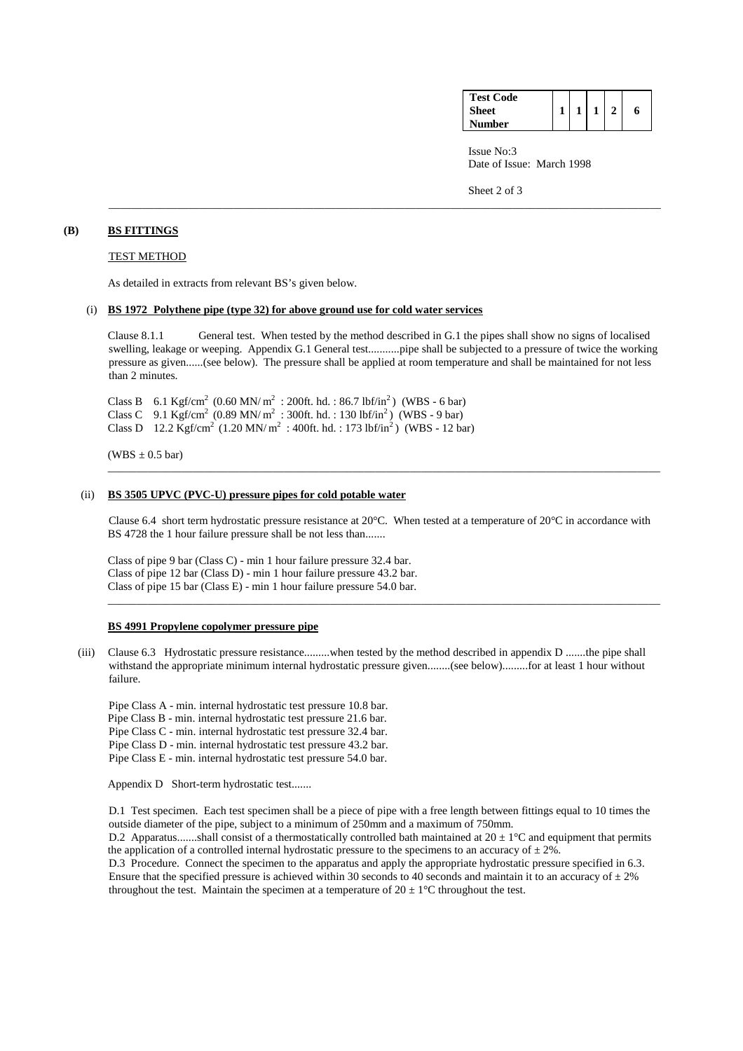| <b>Test Code</b> |  |  |   |
|------------------|--|--|---|
| <b>Sheet</b>     |  |  | 6 |
| <b>Number</b>    |  |  |   |

 Issue No:3 Date of Issue: March 1998

Sheet 2 of 3

### **(B) BS FITTINGS**

## TEST METHOD

As detailed in extracts from relevant BS's given below.

### (i) **BS 1972 Polythene pipe (type 32) for above ground use for cold water services**

 Clause 8.1.1 General test. When tested by the method described in G.1 the pipes shall show no signs of localised swelling, leakage or weeping. Appendix G.1 General test...........pipe shall be subjected to a pressure of twice the working pressure as given......(see below). The pressure shall be applied at room temperature and shall be maintained for not less than 2 minutes.

\_\_\_\_\_\_\_\_\_\_\_\_\_\_\_\_\_\_\_\_\_\_\_\_\_\_\_\_\_\_\_\_\_\_\_\_\_\_\_\_\_\_\_\_\_\_\_\_\_\_\_\_\_\_\_\_\_\_\_\_\_\_\_\_\_\_\_\_\_\_\_\_\_\_\_\_\_\_\_\_\_\_\_\_\_\_\_\_\_\_\_\_\_\_\_\_\_

Class B 6.1 Kgf/cm<sup>2</sup> (0.60 MN/m<sup>2</sup> : 200ft. hd. : 86.7 lbf/in<sup>2</sup>) (WBS - 6 bar) Class C 9.1 Kgf/cm<sup>2</sup> (0.89 MN/m<sup>2</sup>: 300ft. hd.: 130 lbf/in<sup>2</sup>) (WBS - 9 bar) Class D  $12.2 \text{ Kgf/cm}^2$  (1.20 MN/ m<sup>2</sup>: 400ft. hd.: 173 lbf/in<sup>2</sup>) (WBS - 12 bar)

 $(WBS \pm 0.5 \text{ bar})$ 

#### (ii) **BS 3505 UPVC (PVC-U) pressure pipes for cold potable water**

Clause 6.4 short term hydrostatic pressure resistance at 20°C. When tested at a temperature of 20°C in accordance with BS 4728 the 1 hour failure pressure shall be not less than.......

\_\_\_\_\_\_\_\_\_\_\_\_\_\_\_\_\_\_\_\_\_\_\_\_\_\_\_\_\_\_\_\_\_\_\_\_\_\_\_\_\_\_\_\_\_\_\_\_\_\_\_\_\_\_\_\_\_\_\_\_\_\_\_\_\_\_\_\_\_\_\_\_\_\_\_\_\_\_\_\_\_\_\_\_\_\_\_\_\_\_\_\_\_\_\_\_\_

 Class of pipe 9 bar (Class C) - min 1 hour failure pressure 32.4 bar. Class of pipe 12 bar (Class D) - min 1 hour failure pressure 43.2 bar. Class of pipe 15 bar (Class E) - min 1 hour failure pressure 54.0 bar.

#### **BS 4991 Propylene copolymer pressure pipe**

 (iii) Clause 6.3 Hydrostatic pressure resistance.........when tested by the method described in appendix D .......the pipe shall withstand the appropriate minimum internal hydrostatic pressure given........(see below).........for at least 1 hour without failure.

\_\_\_\_\_\_\_\_\_\_\_\_\_\_\_\_\_\_\_\_\_\_\_\_\_\_\_\_\_\_\_\_\_\_\_\_\_\_\_\_\_\_\_\_\_\_\_\_\_\_\_\_\_\_\_\_\_\_\_\_\_\_\_\_\_\_\_\_\_\_\_\_\_\_\_\_\_\_\_\_\_\_\_\_\_\_\_\_\_\_\_\_\_\_\_\_\_

Pipe Class A - min. internal hydrostatic test pressure 10.8 bar.

Pipe Class B - min. internal hydrostatic test pressure 21.6 bar.

Pipe Class C - min. internal hydrostatic test pressure 32.4 bar.

Pipe Class D - min. internal hydrostatic test pressure 43.2 bar.

Pipe Class E - min. internal hydrostatic test pressure 54.0 bar.

Appendix D Short-term hydrostatic test.......

 D.1 Test specimen. Each test specimen shall be a piece of pipe with a free length between fittings equal to 10 times the outside diameter of the pipe, subject to a minimum of 250mm and a maximum of 750mm.

D.2 Apparatus.......shall consist of a thermostatically controlled bath maintained at  $20 \pm 1^{\circ}$ C and equipment that permits the application of a controlled internal hydrostatic pressure to the specimens to an accuracy of  $\pm 2\%$ .

 D.3 Procedure. Connect the specimen to the apparatus and apply the appropriate hydrostatic pressure specified in 6.3. Ensure that the specified pressure is achieved within 30 seconds to 40 seconds and maintain it to an accuracy of  $\pm 2\%$ throughout the test. Maintain the specimen at a temperature of  $20 \pm 1^{\circ}$ C throughout the test.